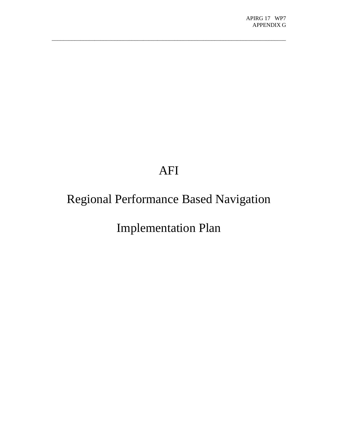# AFI

 $\_$  , and the set of the set of the set of the set of the set of the set of the set of the set of the set of the set of the set of the set of the set of the set of the set of the set of the set of the set of the set of th

# Regional Performance Based Navigation

Implementation Plan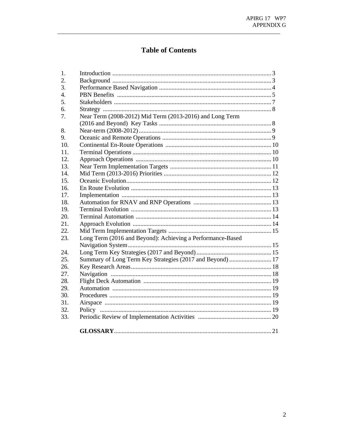L,

# **Table of Contents**

| 1.               |                                                            |  |
|------------------|------------------------------------------------------------|--|
| 2.               |                                                            |  |
| 3.               |                                                            |  |
| $\overline{4}$ . |                                                            |  |
| 5.               |                                                            |  |
| б.               |                                                            |  |
| 7.               | Near Term (2008-2012) Mid Term (2013-2016) and Long Term   |  |
|                  |                                                            |  |
| 8.               |                                                            |  |
| 9.               |                                                            |  |
| 10.              |                                                            |  |
| 11.              |                                                            |  |
| 12.              |                                                            |  |
| 13.              |                                                            |  |
| 14.              |                                                            |  |
| 15.              |                                                            |  |
| 16.              |                                                            |  |
| 17.              |                                                            |  |
| 18.              |                                                            |  |
| 19.              |                                                            |  |
| 20.              |                                                            |  |
| 21.              |                                                            |  |
| 22.              |                                                            |  |
| 23.              | Long Term (2016 and Beyond): Achieving a Performance-Based |  |
|                  |                                                            |  |
| 24.              |                                                            |  |
| 25.              | Summary of Long Term Key Strategies (2017 and Beyond)  17  |  |
| 26.              |                                                            |  |
| 27.              |                                                            |  |
| 28.              |                                                            |  |
| 29.              |                                                            |  |
| 30.              |                                                            |  |
| 31.              |                                                            |  |
| 32.              |                                                            |  |
| 33.              |                                                            |  |
|                  |                                                            |  |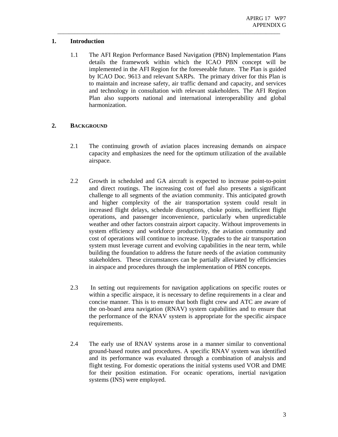#### **1. Introduction**

1.1 The AFI Region Performance Based Navigation (PBN) Implementation Plans details the framework within which the ICAO PBN concept will be implemented in the AFI Region for the foreseeable future. The Plan is guided by ICAO Doc. 9613 and relevant SARPs. The primary driver for this Plan is to maintain and increase safety, air traffic demand and capacity, and services and technology in consultation with relevant stakeholders. The AFI Region Plan also supports national and international interoperability and global harmonization.

\_\_\_\_\_\_\_\_\_\_\_\_\_\_\_\_\_\_\_\_\_\_\_\_\_\_\_\_\_\_\_\_\_\_\_\_\_\_\_\_\_\_\_\_\_\_\_\_\_\_\_\_\_\_\_\_\_\_\_\_\_\_\_\_\_\_\_\_\_\_\_\_\_\_\_\_\_\_

### **2. BACKGROUND**

- 2.1 The continuing growth of aviation places increasing demands on airspace capacity and emphasizes the need for the optimum utilization of the available airspace.
- 2.2 Growth in scheduled and GA aircraft is expected to increase point-to-point and direct routings. The increasing cost of fuel also presents a significant challenge to all segments of the aviation community. This anticipated growth and higher complexity of the air transportation system could result in increased flight delays, schedule disruptions, choke points, inefficient flight operations, and passenger inconvenience, particularly when unpredictable weather and other factors constrain airport capacity. Without improvements in system efficiency and workforce productivity, the aviation community and cost of operations will continue to increase. Upgrades to the air transportation system must leverage current and evolving capabilities in the near term, while building the foundation to address the future needs of the aviation community stakeholders. These circumstances can be partially alleviated by efficiencies in airspace and procedures through the implementation of PBN concepts.
- 2.3 In setting out requirements for navigation applications on specific routes or within a specific airspace, it is necessary to define requirements in a clear and concise manner. This is to ensure that both flight crew and ATC are aware of the on-board area navigation (RNAV) system capabilities and to ensure that the performance of the RNAV system is appropriate for the specific airspace requirements.
- 2.4 The early use of RNAV systems arose in a manner similar to conventional ground-based routes and procedures. A specific RNAV system was identified and its performance was evaluated through a combination of analysis and flight testing. For domestic operations the initial systems used VOR and DME for their position estimation. For oceanic operations, inertial navigation systems (INS) were employed.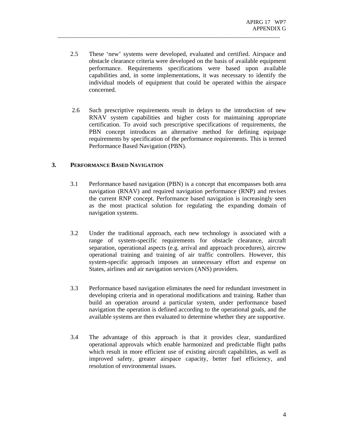2.5 These 'new' systems were developed, evaluated and certified. Airspace and obstacle clearance criteria were developed on the basis of available equipment performance. Requirements specifications were based upon available capabilities and, in some implementations, it was necessary to identify the individual models of equipment that could be operated within the airspace concerned.

\_\_\_\_\_\_\_\_\_\_\_\_\_\_\_\_\_\_\_\_\_\_\_\_\_\_\_\_\_\_\_\_\_\_\_\_\_\_\_\_\_\_\_\_\_\_\_\_\_\_\_\_\_\_\_\_\_\_\_\_\_\_\_\_\_\_\_\_\_\_\_\_\_\_\_\_\_\_

2.6 Such prescriptive requirements result in delays to the introduction of new RNAV system capabilities and higher costs for maintaining appropriate certification. To avoid such prescriptive specifications of requirements, the PBN concept introduces an alternative method for defining equipage requirements by specification of the performance requirements. This is termed Performance Based Navigation (PBN).

#### **3. PERFORMANCE BASED NAVIGATION**

- 3.1 Performance based navigation (PBN) is a concept that encompasses both area navigation (RNAV) and required navigation performance (RNP) and revises the current RNP concept. Performance based navigation is increasingly seen as the most practical solution for regulating the expanding domain of navigation systems.
- 3.2 Under the traditional approach, each new technology is associated with a range of system-specific requirements for obstacle clearance, aircraft separation, operational aspects (e.g. arrival and approach procedures), aircrew operational training and training of air traffic controllers. However, this system-specific approach imposes an unnecessary effort and expense on States, airlines and air navigation services (ANS) providers.
- 3.3 Performance based navigation eliminates the need for redundant investment in developing criteria and in operational modifications and training. Rather than build an operation around a particular system, under performance based navigation the operation is defined according to the operational goals, and the available systems are then evaluated to determine whether they are supportive.
- 3.4 The advantage of this approach is that it provides clear, standardized operational approvals which enable harmonized and predictable flight paths which result in more efficient use of existing aircraft capabilities, as well as improved safety, greater airspace capacity, better fuel efficiency, and resolution of environmental issues.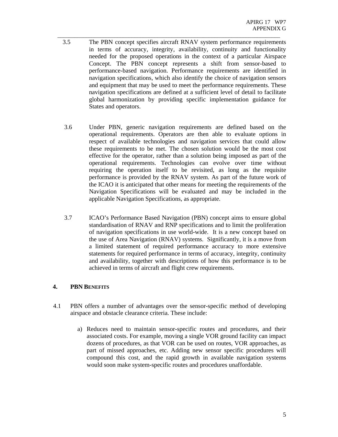3.5 The PBN concept specifies aircraft RNAV system performance requirements in terms of accuracy, integrity, availability, continuity and functionality needed for the proposed operations in the context of a particular Airspace Concept. The PBN concept represents a shift from sensor-based to performance-based navigation. Performance requirements are identified in navigation specifications, which also identify the choice of navigation sensors and equipment that may be used to meet the performance requirements. These navigation specifications are defined at a sufficient level of detail to facilitate global harmonization by providing specific implementation guidance for States and operators.

\_\_\_\_\_\_\_\_\_\_\_\_\_\_\_\_\_\_\_\_\_\_\_\_\_\_\_\_\_\_\_\_\_\_\_\_\_\_\_\_\_\_\_\_\_\_\_\_\_\_\_\_\_\_\_\_\_\_\_\_\_\_\_\_\_\_\_\_\_\_\_\_\_\_\_\_\_\_

- 3.6 Under PBN, generic navigation requirements are defined based on the operational requirements. Operators are then able to evaluate options in respect of available technologies and navigation services that could allow these requirements to be met. The chosen solution would be the most cost effective for the operator, rather than a solution being imposed as part of the operational requirements. Technologies can evolve over time without requiring the operation itself to be revisited, as long as the requisite performance is provided by the RNAV system. As part of the future work of the ICAO it is anticipated that other means for meeting the requirements of the Navigation Specifications will be evaluated and may be included in the applicable Navigation Specifications, as appropriate.
- 3.7 ICAO's Performance Based Navigation (PBN) concept aims to ensure global standardisation of RNAV and RNP specifications and to limit the proliferation of navigation specifications in use world-wide. It is a new concept based on the use of Area Navigation (RNAV) systems. Significantly, it is a move from a limited statement of required performance accuracy to more extensive statements for required performance in terms of accuracy, integrity, continuity and availability, together with descriptions of how this performance is to be achieved in terms of aircraft and flight crew requirements.

#### **4. PBN BENEFITS**

- 4.1 PBN offers a number of advantages over the sensor-specific method of developing airspace and obstacle clearance criteria. These include:
	- a) Reduces need to maintain sensor-specific routes and procedures, and their associated costs. For example, moving a single VOR ground facility can impact dozens of procedures, as that VOR can be used on routes, VOR approaches, as part of missed approaches, etc. Adding new sensor specific procedures will compound this cost, and the rapid growth in available navigation systems would soon make system-specific routes and procedures unaffordable.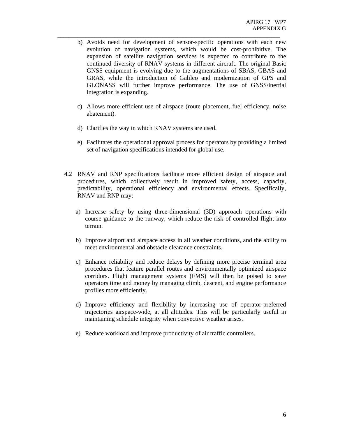b) Avoids need for development of sensor-specific operations with each new evolution of navigation systems, which would be cost-prohibitive. The expansion of satellite navigation services is expected to contribute to the continued diversity of RNAV systems in different aircraft. The original Basic GNSS equipment is evolving due to the augmentations of SBAS, GBAS and GRAS, while the introduction of Galileo and modernization of GPS and GLONASS will further improve performance. The use of GNSS/inertial integration is expanding.

\_\_\_\_\_\_\_\_\_\_\_\_\_\_\_\_\_\_\_\_\_\_\_\_\_\_\_\_\_\_\_\_\_\_\_\_\_\_\_\_\_\_\_\_\_\_\_\_\_\_\_\_\_\_\_\_\_\_\_\_\_\_\_\_\_\_\_\_\_\_\_\_\_\_\_\_\_\_

- c) Allows more efficient use of airspace (route placement, fuel efficiency, noise abatement).
- d) Clarifies the way in which RNAV systems are used.
- e) Facilitates the operational approval process for operators by providing a limited set of navigation specifications intended for global use.
- 4.2 RNAV and RNP specifications facilitate more efficient design of airspace and procedures, which collectively result in improved safety, access, capacity, predictability, operational efficiency and environmental effects. Specifically, RNAV and RNP may:
	- a) Increase safety by using three-dimensional (3D) approach operations with course guidance to the runway, which reduce the risk of controlled flight into terrain.
	- b) Improve airport and airspace access in all weather conditions, and the ability to meet environmental and obstacle clearance constraints.
	- c) Enhance reliability and reduce delays by defining more precise terminal area procedures that feature parallel routes and environmentally optimized airspace corridors. Flight management systems (FMS) will then be poised to save operators time and money by managing climb, descent, and engine performance profiles more efficiently.
	- d) Improve efficiency and flexibility by increasing use of operator-preferred trajectories airspace-wide, at all altitudes. This will be particularly useful in maintaining schedule integrity when convective weather arises.
	- e) Reduce workload and improve productivity of air traffic controllers.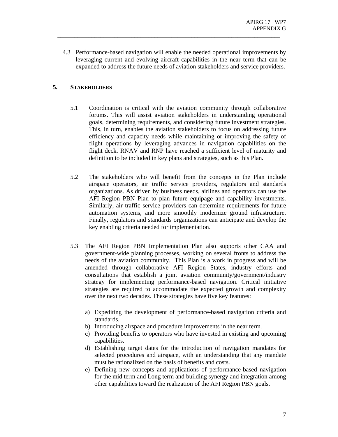4.3 Performance-based navigation will enable the needed operational improvements by leveraging current and evolving aircraft capabilities in the near term that can be expanded to address the future needs of aviation stakeholders and service providers.

\_\_\_\_\_\_\_\_\_\_\_\_\_\_\_\_\_\_\_\_\_\_\_\_\_\_\_\_\_\_\_\_\_\_\_\_\_\_\_\_\_\_\_\_\_\_\_\_\_\_\_\_\_\_\_\_\_\_\_\_\_\_\_\_\_\_\_\_\_\_\_\_\_\_\_\_\_\_

#### **5. STAKEHOLDERS**

- 5.1 Coordination is critical with the aviation community through collaborative forums. This will assist aviation stakeholders in understanding operational goals, determining requirements, and considering future investment strategies. This, in turn, enables the aviation stakeholders to focus on addressing future efficiency and capacity needs while maintaining or improving the safety of flight operations by leveraging advances in navigation capabilities on the flight deck. RNAV and RNP have reached a sufficient level of maturity and definition to be included in key plans and strategies, such as this Plan.
- 5.2 The stakeholders who will benefit from the concepts in the Plan include airspace operators, air traffic service providers, regulators and standards organizations. As driven by business needs, airlines and operators can use the AFI Region PBN Plan to plan future equipage and capability investments. Similarly, air traffic service providers can determine requirements for future automation systems, and more smoothly modernize ground infrastructure. Finally, regulators and standards organizations can anticipate and develop the key enabling criteria needed for implementation.
- 5.3 The AFI Region PBN Implementation Plan also supports other CAA and government-wide planning processes, working on several fronts to address the needs of the aviation community. This Plan is a work in progress and will be amended through collaborative AFI Region States, industry efforts and consultations that establish a joint aviation community/government/industry strategy for implementing performance-based navigation. Critical initiative strategies are required to accommodate the expected growth and complexity over the next two decades. These strategies have five key features:
	- a) Expediting the development of performance-based navigation criteria and standards.
	- b) Introducing airspace and procedure improvements in the near term.
	- c) Providing benefits to operators who have invested in existing and upcoming capabilities.
	- d) Establishing target dates for the introduction of navigation mandates for selected procedures and airspace, with an understanding that any mandate must be rationalized on the basis of benefits and costs.
	- e) Defining new concepts and applications of performance-based navigation for the mid term and Long term and building synergy and integration among other capabilities toward the realization of the AFI Region PBN goals.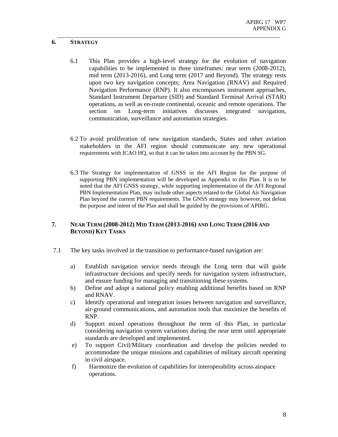#### **6. STRATEGY**

6.1 This Plan provides a high-level strategy for the evolution of navigation capabilities to be implemented in three timeframes: near term (2008-2012), mid term (2013-2016), and Long term (2017 and Beyond). The strategy rests upon two key navigation concepts; Area Navigation (RNAV) and Required Navigation Performance (RNP). It also encompasses instrument approaches, Standard Instrument Departure (SID) and Standard Terminal Arrival (STAR) operations, as well as en-route continental, oceanic and remote operations. The section on Long-term initiatives discusses integrated navigation, communication, surveillance and automation strategies.

\_\_\_\_\_\_\_\_\_\_\_\_\_\_\_\_\_\_\_\_\_\_\_\_\_\_\_\_\_\_\_\_\_\_\_\_\_\_\_\_\_\_\_\_\_\_\_\_\_\_\_\_\_\_\_\_\_\_\_\_\_\_\_\_\_\_\_\_\_\_\_\_\_\_\_\_\_\_

- 6.2 To avoid proliferation of new navigation standards, States and other aviation stakeholders in the AFI region should communicate any new operational requirements with ICAO HQ, so that it can be taken into account by the PBN SG.
- 6.3 The Strategy for implementation of GNSS in the AFI Region for the purpose of supporting PBN implementation will be developed as Appendix to this Plan. It is to be noted that the AFI GNSS strategy, while supporting implementation of the AFI Regional PBN Implementation Plan, may include other aspects related to the Global Air Navigation Plan beyond the current PBN requirements. The GNSS strategy may however, not defeat the purpose and intent of the Plan and shall be guided by the provisions of APIRG.

#### **7. NEAR TERM (2008-2012) MID TERM (2013-2016) AND LONG TERM (2016 AND BEYOND) KEY TASKS**

- 7.1 The key tasks involved in the transition to performance-based navigation are:
	- a) Establish navigation service needs through the Long term that will guide infrastructure decisions and specify needs for navigation system infrastructure, and ensure funding for managing and transitioning these systems.
	- b) Define and adopt a national policy enabling additional benefits based on RNP and RNAV.
	- c) Identify operational and integration issues between navigation and surveillance, air-ground communications, and automation tools that maximize the benefits of RNP.
	- d) Support mixed operations throughout the term of this Plan, in particular considering navigation system variations during the near term until appropriate standards are developed and implemented.
	- e) To support Civil/Military coordination and develop the policies needed to accommodate the unique missions and capabilities of military aircraft operating in civil airspace.
	- f) Harmonize the evolution of capabilities for interoperability across airspace operations.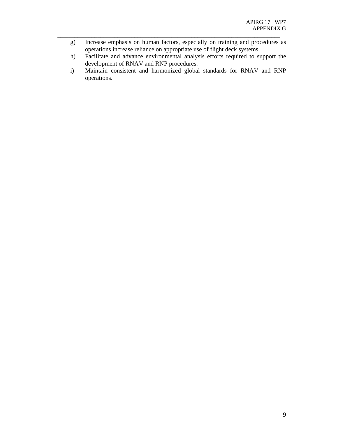g) Increase emphasis on human factors, especially on training and procedures as operations increase reliance on appropriate use of flight deck systems.

\_\_\_\_\_\_\_\_\_\_\_\_\_\_\_\_\_\_\_\_\_\_\_\_\_\_\_\_\_\_\_\_\_\_\_\_\_\_\_\_\_\_\_\_\_\_\_\_\_\_\_\_\_\_\_\_\_\_\_\_\_\_\_\_\_\_\_\_\_\_\_\_\_\_\_\_\_\_

- h) Facilitate and advance environmental analysis efforts required to support the development of RNAV and RNP procedures.
- i) Maintain consistent and harmonized global standards for RNAV and RNP operations.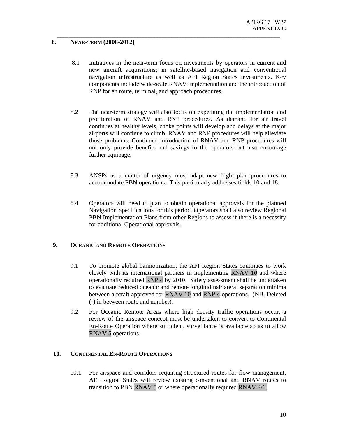#### **8. NEAR-TERM (2008-2012)**

8.1 Initiatives in the near-term focus on investments by operators in current and new aircraft acquisitions; in satellite-based navigation and conventional navigation infrastructure as well as AFI Region States investments. Key components include wide-scale RNAV implementation and the introduction of RNP for en route, terminal, and approach procedures.

\_\_\_\_\_\_\_\_\_\_\_\_\_\_\_\_\_\_\_\_\_\_\_\_\_\_\_\_\_\_\_\_\_\_\_\_\_\_\_\_\_\_\_\_\_\_\_\_\_\_\_\_\_\_\_\_\_\_\_\_\_\_\_\_\_\_\_\_\_\_\_\_\_\_\_\_\_\_

- 8.2 The near-term strategy will also focus on expediting the implementation and proliferation of RNAV and RNP procedures. As demand for air travel continues at healthy levels, choke points will develop and delays at the major airports will continue to climb. RNAV and RNP procedures will help alleviate those problems. Continued introduction of RNAV and RNP procedures will not only provide benefits and savings to the operators but also encourage further equipage.
- 8.3 ANSPs as a matter of urgency must adapt new flight plan procedures to accommodate PBN operations. This particularly addresses fields 10 and 18.
- 8.4 Operators will need to plan to obtain operational approvals for the planned Navigation Specifications for this period. Operators shall also review Regional PBN Implementation Plans from other Regions to assess if there is a necessity for additional Operational approvals.

#### **9. OCEANIC AND REMOTE OPERATIONS**

- 9.1 To promote global harmonization, the AFI Region States continues to work closely with its international partners in implementing RNAV 10 and where operationally required RNP 4 by 2010. Safety assessment shall be undertaken to evaluate reduced oceanic and remote longitudinal/lateral separation minima between aircraft approved for RNAV 10 and RNP 4 operations. (NB. Deleted (-) in between route and number).
- 9.2 For Oceanic Remote Areas where high density traffic operations occur, a review of the airspace concept must be undertaken to convert to Continental En-Route Operation where sufficient, surveillance is available so as to allow RNAV 5 operations.

#### **10. CONTINENTAL EN-ROUTE OPERATIONS**

10.1 For airspace and corridors requiring structured routes for flow management, AFI Region States will review existing conventional and RNAV routes to transition to PBN RNAV 5 or where operationally required RNAV 2/1.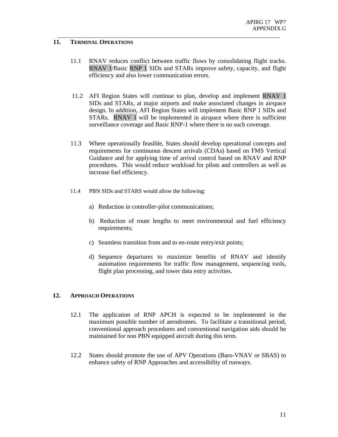#### **11. TERMINAL OPERATIONS**

11.1 RNAV reduces conflict between traffic flows by consolidating flight tracks. RNAV 1/Basic RNP 1 SIDs and STARs improve safety, capacity, and flight efficiency and also lower communication errors.

\_\_\_\_\_\_\_\_\_\_\_\_\_\_\_\_\_\_\_\_\_\_\_\_\_\_\_\_\_\_\_\_\_\_\_\_\_\_\_\_\_\_\_\_\_\_\_\_\_\_\_\_\_\_\_\_\_\_\_\_\_\_\_\_\_\_\_\_\_\_\_\_\_\_\_\_\_\_

- 11.2 AFI Region States will continue to plan, develop and implement RNAV 1 SIDs and STARs, at major airports and make associated changes in airspace design. In addition, AFI Region States will implement Basic RNP 1 SIDs and STARs. RNAV 1 will be implemented in airspace where there is sufficient surveillance coverage and Basic RNP-1 where there is no such coverage.
- 11.3 Where operationally feasible, States should develop operational concepts and requirements for continuous descent arrivals (CDAs) based on FMS Vertical Guidance and for applying time of arrival control based on RNAV and RNP procedures. This would reduce workload for pilots and controllers as well as increase fuel efficiency.
- 11.4 PBN SIDs and STARS would allow the following:
	- a) Reduction in controller-pilot communications;
	- b) Reduction of route lengths to meet environmental and fuel efficiency requirements;
	- c) Seamless transition from and to en-route entry/exit points;
	- d) Sequence departures to maximize benefits of RNAV and identify automation requirements for traffic flow management, sequencing tools, flight plan processing, and tower data entry activities.

#### **12. APPROACH OPERATIONS**

- 12.1 The application of RNP APCH is expected to be implemented in the maximum possible number of aerodromes. To facilitate a transitional period, conventional approach procedures and conventional navigation aids should be maintained for non PBN equipped aircraft during this term.
- 12.2 States should promote the use of APV Operations (Baro-VNAV or SBAS) to enhance safety of RNP Approaches and accessibility of runways.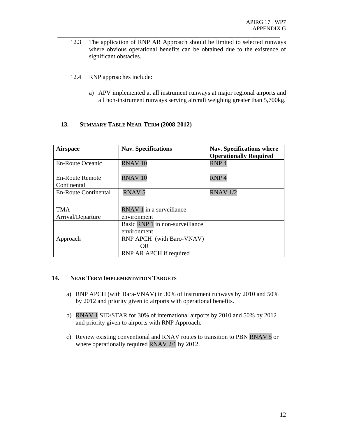12.3 The application of RNP AR Approach should be limited to selected runways where obvious operational benefits can be obtained due to the existence of significant obstacles.

\_\_\_\_\_\_\_\_\_\_\_\_\_\_\_\_\_\_\_\_\_\_\_\_\_\_\_\_\_\_\_\_\_\_\_\_\_\_\_\_\_\_\_\_\_\_\_\_\_\_\_\_\_\_\_\_\_\_\_\_\_\_\_\_\_\_\_\_\_\_\_\_\_\_\_\_\_\_

- 12.4 RNP approaches include:
	- a) APV implemented at all instrument runways at major regional airports and all non-instrument runways serving aircraft weighing greater than 5,700kg.

#### **13. SUMMARY TABLE NEAR-TERM (2008-2012)**

| <b>Airspace</b>                | <b>Nav. Specifications</b>      | Nav. Specifications where<br><b>Operationally Required</b> |
|--------------------------------|---------------------------------|------------------------------------------------------------|
| <b>En-Route Oceanic</b>        | RNAV <sub>10</sub>              | RNP <sub>4</sub>                                           |
| En-Route Remote<br>Continental | RNAV <sub>10</sub>              | RNP <sub>4</sub>                                           |
| En-Route Continental           | <b>RNAV 5</b>                   | <b>RNAV 1/2</b>                                            |
| <b>TMA</b>                     | RNAV 1 in a surveillance        |                                                            |
| Arrival/Departure              | environment                     |                                                            |
|                                | Basic RNP 1 in non-surveillance |                                                            |
|                                | environment                     |                                                            |
| Approach                       | RNP APCH (with Baro-VNAV)       |                                                            |
|                                | OR.                             |                                                            |
|                                | RNP AR APCH if required         |                                                            |

#### **14. NEAR TERM IMPLEMENTATION TARGETS**

- a) RNP APCH (with Bara-VNAV) in 30% of instrument runways by 2010 and 50% by 2012 and priority given to airports with operational benefits.
- b) RNAV 1 SID/STAR for 30% of international airports by 2010 and 50% by 2012 and priority given to airports with RNP Approach.
- c) Review existing conventional and RNAV routes to transition to PBN RNAV 5 or where operationally required RNAV 2/1 by 2012.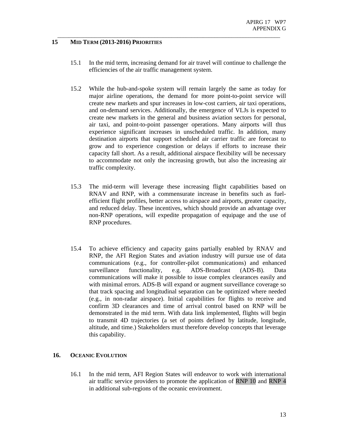#### **15 MID TERM (2013-2016) PRIORITIES**

15.1 In the mid term, increasing demand for air travel will continue to challenge the efficiencies of the air traffic management system.

\_\_\_\_\_\_\_\_\_\_\_\_\_\_\_\_\_\_\_\_\_\_\_\_\_\_\_\_\_\_\_\_\_\_\_\_\_\_\_\_\_\_\_\_\_\_\_\_\_\_\_\_\_\_\_\_\_\_\_\_\_\_\_\_\_\_\_\_\_\_\_\_\_\_\_\_\_\_

- 15.2 While the hub-and-spoke system will remain largely the same as today for major airline operations, the demand for more point-to-point service will create new markets and spur increases in low-cost carriers, air taxi operations, and on-demand services. Additionally, the emergence of VLJs is expected to create new markets in the general and business aviation sectors for personal, air taxi, and point-to-point passenger operations. Many airports will thus experience significant increases in unscheduled traffic. In addition, many destination airports that support scheduled air carrier traffic are forecast to grow and to experience congestion or delays if efforts to increase their capacity fall short. As a result, additional airspace flexibility will be necessary to accommodate not only the increasing growth, but also the increasing air traffic complexity.
- 15.3 The mid-term will leverage these increasing flight capabilities based on RNAV and RNP, with a commensurate increase in benefits such as fuelefficient flight profiles, better access to airspace and airports, greater capacity, and reduced delay. These incentives, which should provide an advantage over non-RNP operations, will expedite propagation of equipage and the use of RNP procedures.
- 15.4 To achieve efficiency and capacity gains partially enabled by RNAV and RNP, the AFI Region States and aviation industry will pursue use of data communications (e.g., for controller-pilot communications) and enhanced surveillance functionality, e.g. ADS-Broadcast (ADS-B). Data communications will make it possible to issue complex clearances easily and with minimal errors. ADS-B will expand or augment surveillance coverage so that track spacing and longitudinal separation can be optimized where needed (e.g., in non-radar airspace). Initial capabilities for flights to receive and confirm 3D clearances and time of arrival control based on RNP will be demonstrated in the mid term. With data link implemented, flights will begin to transmit 4D trajectories (a set of points defined by latitude, longitude, altitude, and time.) Stakeholders must therefore develop concepts that leverage this capability.

#### **16. OCEANIC EVOLUTION**

16.1 In the mid term, AFI Region States will endeavor to work with international air traffic service providers to promote the application of RNP 10 and RNP 4 in additional sub-regions of the oceanic environment.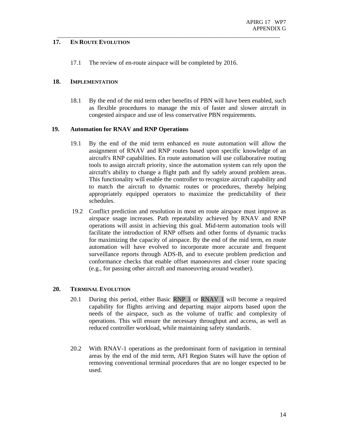#### **17. EN ROUTE EVOLUTION**

17.1 The review of en-route airspace will be completed by 2016.

\_\_\_\_\_\_\_\_\_\_\_\_\_\_\_\_\_\_\_\_\_\_\_\_\_\_\_\_\_\_\_\_\_\_\_\_\_\_\_\_\_\_\_\_\_\_\_\_\_\_\_\_\_\_\_\_\_\_\_\_\_\_\_\_\_\_\_\_\_\_\_\_\_\_\_\_\_\_

#### **18. IMPLEMENTATION**

18.1 By the end of the mid term other benefits of PBN will have been enabled, such as flexible procedures to manage the mix of faster and slower aircraft in congested airspace and use of less conservative PBN requirements.

#### **19. Automation for RNAV and RNP Operations**

- 19.1 By the end of the mid term enhanced en route automation will allow the assignment of RNAV and RNP routes based upon specific knowledge of an aircraft's RNP capabilities. En route automation will use collaborative routing tools to assign aircraft priority, since the automation system can rely upon the aircraft's ability to change a flight path and fly safely around problem areas. This functionality will enable the controller to recognize aircraft capability and to match the aircraft to dynamic routes or procedures, thereby helping appropriately equipped operators to maximize the predictability of their schedules.
- 19.2 Conflict prediction and resolution in most en route airspace must improve as airspace usage increases. Path repeatability achieved by RNAV and RNP operations will assist in achieving this goal. Mid-term automation tools will facilitate the introduction of RNP offsets and other forms of dynamic tracks for maximizing the capacity of airspace. By the end of the mid term, en route automation will have evolved to incorporate more accurate and frequent surveillance reports through ADS-B, and to execute problem prediction and conformance checks that enable offset manoeuvres and closer route spacing (e.g., for passing other aircraft and manoeuvring around weather).

#### **20. TERMINAL EVOLUTION**

- 20.1 During this period, either Basic RNP 1 or RNAV 1 will become a required capability for flights arriving and departing major airports based upon the needs of the airspace, such as the volume of traffic and complexity of operations. This will ensure the necessary throughput and access, as well as reduced controller workload, while maintaining safety standards.
- 20.2 With RNAV-1 operations as the predominant form of navigation in terminal areas by the end of the mid term, AFI Region States will have the option of removing conventional terminal procedures that are no longer expected to be used.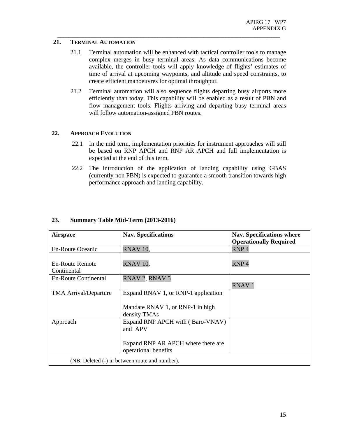#### **21. TERMINAL AUTOMATION**

21.1 Terminal automation will be enhanced with tactical controller tools to manage complex merges in busy terminal areas. As data communications become available, the controller tools will apply knowledge of flights' estimates of time of arrival at upcoming waypoints, and altitude and speed constraints, to create efficient manoeuvres for optimal throughput.

\_\_\_\_\_\_\_\_\_\_\_\_\_\_\_\_\_\_\_\_\_\_\_\_\_\_\_\_\_\_\_\_\_\_\_\_\_\_\_\_\_\_\_\_\_\_\_\_\_\_\_\_\_\_\_\_\_\_\_\_\_\_\_\_\_\_\_\_\_\_\_\_\_\_\_\_\_\_

21.2 Terminal automation will also sequence flights departing busy airports more efficiently than today. This capability will be enabled as a result of PBN and flow management tools. Flights arriving and departing busy terminal areas will follow automation-assigned PBN routes.

#### **22. APPROACH EVOLUTION**

- 22.1 In the mid term, implementation priorities for instrument approaches will still be based on RNP APCH and RNP AR APCH and full implementation is expected at the end of this term.
- 22.2 The introduction of the application of landing capability using GBAS (currently non PBN) is expected to guarantee a smooth transition towards high performance approach and landing capability.

| <b>Airspace</b>                                | <b>Nav. Specifications</b>                                 | Nav. Specifications where     |  |  |
|------------------------------------------------|------------------------------------------------------------|-------------------------------|--|--|
|                                                |                                                            | <b>Operationally Required</b> |  |  |
| <b>En-Route Oceanic</b>                        | RNAV <sub>10</sub>                                         | RNP <sub>4</sub>              |  |  |
| <b>En-Route Remote</b><br>Continental          | RNAV <sub>10</sub> ,                                       | RNP <sub>4</sub>              |  |  |
| <b>En-Route Continental</b>                    | RNAV 2, RNAV 5                                             |                               |  |  |
|                                                |                                                            | <b>RNAV1</b>                  |  |  |
| <b>TMA Arrival/Departure</b>                   | Expand RNAV 1, or RNP-1 application                        |                               |  |  |
|                                                |                                                            |                               |  |  |
|                                                | Mandate RNAV 1, or RNP-1 in high                           |                               |  |  |
|                                                | density TMAs                                               |                               |  |  |
| Approach                                       | Expand RNP APCH with (Baro-VNAV)                           |                               |  |  |
|                                                | and APV                                                    |                               |  |  |
|                                                |                                                            |                               |  |  |
|                                                | Expand RNP AR APCH where there are<br>operational benefits |                               |  |  |
| (NB. Deleted (-) in between route and number). |                                                            |                               |  |  |

### **23. Summary Table Mid-Term (2013-2016)**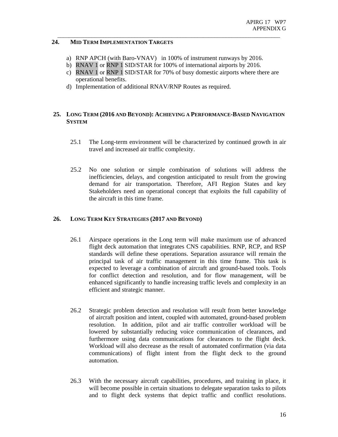#### **24. MID TERM IMPLEMENTATION TARGETS**

a) RNP APCH (with Baro-VNAV) in 100% of instrument runways by 2016.

\_\_\_\_\_\_\_\_\_\_\_\_\_\_\_\_\_\_\_\_\_\_\_\_\_\_\_\_\_\_\_\_\_\_\_\_\_\_\_\_\_\_\_\_\_\_\_\_\_\_\_\_\_\_\_\_\_\_\_\_\_\_\_\_\_\_\_\_\_\_\_\_\_\_\_\_\_\_

- b) RNAV 1 or RNP 1 SID/STAR for 100% of international airports by 2016.
- c) RNAV 1 or RNP 1 SID/STAR for 70% of busy domestic airports where there are operational benefits.
- d) Implementation of additional RNAV/RNP Routes as required.

#### **25. LONG TERM (2016 AND BEYOND): ACHIEVING A PERFORMANCE-BASED NAVIGATION SYSTEM**

- 25.1 The Long-term environment will be characterized by continued growth in air travel and increased air traffic complexity.
- 25.2 No one solution or simple combination of solutions will address the inefficiencies, delays, and congestion anticipated to result from the growing demand for air transportation. Therefore, AFI Region States and key Stakeholders need an operational concept that exploits the full capability of the aircraft in this time frame.

#### **26. LONG TERM KEY STRATEGIES (2017 AND BEYOND)**

- 26.1 Airspace operations in the Long term will make maximum use of advanced flight deck automation that integrates CNS capabilities. RNP, RCP, and RSP standards will define these operations. Separation assurance will remain the principal task of air traffic management in this time frame. This task is expected to leverage a combination of aircraft and ground-based tools. Tools for conflict detection and resolution, and for flow management, will be enhanced significantly to handle increasing traffic levels and complexity in an efficient and strategic manner.
- 26.2 Strategic problem detection and resolution will result from better knowledge of aircraft position and intent, coupled with automated, ground-based problem resolution. In addition, pilot and air traffic controller workload will be lowered by substantially reducing voice communication of clearances, and furthermore using data communications for clearances to the flight deck. Workload will also decrease as the result of automated confirmation (via data communications) of flight intent from the flight deck to the ground automation.
- 26.3 With the necessary aircraft capabilities, procedures, and training in place, it will become possible in certain situations to delegate separation tasks to pilots and to flight deck systems that depict traffic and conflict resolutions.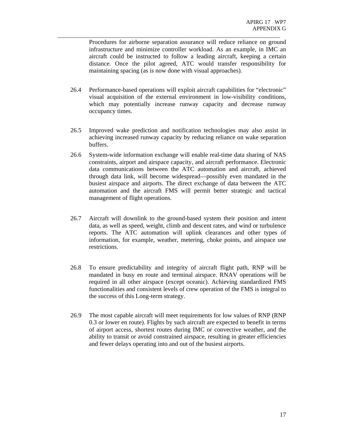Procedures for airborne separation assurance will reduce reliance on ground infrastructure and minimize controller workload. As an example, in IMC an aircraft could be instructed to follow a leading aircraft, keeping a certain distance. Once the pilot agreed, ATC would transfer responsibility for maintaining spacing (as is now done with visual approaches).

26.4 Performance-based operations will exploit aircraft capabilities for "electronic" visual acquisition of the external environment in low-visibility conditions, which may potentially increase runway capacity and decrease runway occupancy times.

\_\_\_\_\_\_\_\_\_\_\_\_\_\_\_\_\_\_\_\_\_\_\_\_\_\_\_\_\_\_\_\_\_\_\_\_\_\_\_\_\_\_\_\_\_\_\_\_\_\_\_\_\_\_\_\_\_\_\_\_\_\_\_\_\_\_\_\_\_\_\_\_\_\_\_\_\_\_

- 26.5 Improved wake prediction and notification technologies may also assist in achieving increased runway capacity by reducing reliance on wake separation buffers.
- 26.6 System-wide information exchange will enable real-time data sharing of NAS constraints, airport and airspace capacity, and aircraft performance. Electronic data communications between the ATC automation and aircraft, achieved through data link, will become widespread—possibly even mandated in the busiest airspace and airports. The direct exchange of data between the ATC automation and the aircraft FMS will permit better strategic and tactical management of flight operations.
- 26.7 Aircraft will downlink to the ground-based system their position and intent data, as well as speed, weight, climb and descent rates, and wind or turbulence reports. The ATC automation will uplink clearances and other types of information, for example, weather, metering, choke points, and airspace use restrictions.
- 26.8 To ensure predictability and integrity of aircraft flight path, RNP will be mandated in busy en route and terminal airspace. RNAV operations will be required in all other airspace (except oceanic). Achieving standardized FMS functionalities and consistent levels of crew operation of the FMS is integral to the success of this Long-term strategy.
- 26.9 The most capable aircraft will meet requirements for low values of RNP (RNP 0.3 or lower en route). Flights by such aircraft are expected to benefit in terms of airport access, shortest routes during IMC or convective weather, and the ability to transit or avoid constrained airspace, resulting in greater efficiencies and fewer delays operating into and out of the busiest airports.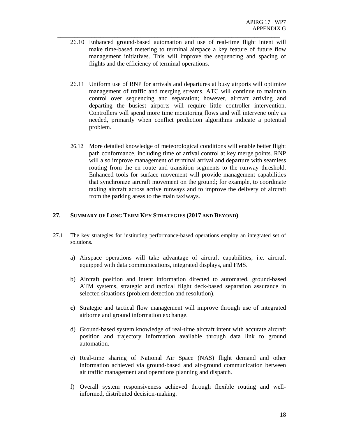26.10 Enhanced ground-based automation and use of real-time flight intent will make time-based metering to terminal airspace a key feature of future flow management initiatives. This will improve the sequencing and spacing of flights and the efficiency of terminal operations.

\_\_\_\_\_\_\_\_\_\_\_\_\_\_\_\_\_\_\_\_\_\_\_\_\_\_\_\_\_\_\_\_\_\_\_\_\_\_\_\_\_\_\_\_\_\_\_\_\_\_\_\_\_\_\_\_\_\_\_\_\_\_\_\_\_\_\_\_\_\_\_\_\_\_\_\_\_\_

- 26.11 Uniform use of RNP for arrivals and departures at busy airports will optimize management of traffic and merging streams. ATC will continue to maintain control over sequencing and separation; however, aircraft arriving and departing the busiest airports will require little controller intervention. Controllers will spend more time monitoring flows and will intervene only as needed, primarily when conflict prediction algorithms indicate a potential problem.
- 26.12 More detailed knowledge of meteorological conditions will enable better flight path conformance, including time of arrival control at key merge points. RNP will also improve management of terminal arrival and departure with seamless routing from the en route and transition segments to the runway threshold. Enhanced tools for surface movement will provide management capabilities that synchronize aircraft movement on the ground; for example, to coordinate taxiing aircraft across active runways and to improve the delivery of aircraft from the parking areas to the main taxiways.

#### **27. SUMMARY OF LONG TERM KEY STRATEGIES (2017 AND BEYOND)**

- 27.1 The key strategies for instituting performance-based operations employ an integrated set of solutions.
	- a) Airspace operations will take advantage of aircraft capabilities, i.e. aircraft equipped with data communications, integrated displays, and FMS.
	- b) Aircraft position and intent information directed to automated, ground-based ATM systems, strategic and tactical flight deck-based separation assurance in selected situations (problem detection and resolution).
	- **c)** Strategic and tactical flow management will improve through use of integrated airborne and ground information exchange.
	- d) Ground-based system knowledge of real-time aircraft intent with accurate aircraft position and trajectory information available through data link to ground automation.
	- e) Real-time sharing of National Air Space (NAS) flight demand and other information achieved via ground-based and air-ground communication between air traffic management and operations planning and dispatch.
	- f) Overall system responsiveness achieved through flexible routing and wellinformed, distributed decision-making.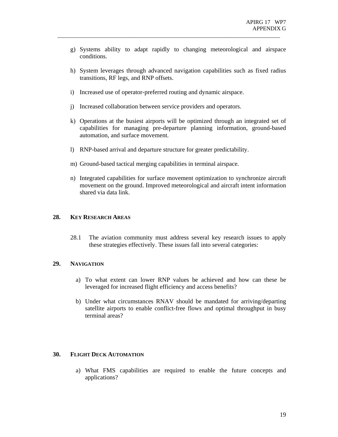g) Systems ability to adapt rapidly to changing meteorological and airspace conditions.

\_\_\_\_\_\_\_\_\_\_\_\_\_\_\_\_\_\_\_\_\_\_\_\_\_\_\_\_\_\_\_\_\_\_\_\_\_\_\_\_\_\_\_\_\_\_\_\_\_\_\_\_\_\_\_\_\_\_\_\_\_\_\_\_\_\_\_\_\_\_\_\_\_\_\_\_\_\_

- h) System leverages through advanced navigation capabilities such as fixed radius transitions, RF legs, and RNP offsets.
- i) Increased use of operator-preferred routing and dynamic airspace.
- j) Increased collaboration between service providers and operators.
- k) Operations at the busiest airports will be optimized through an integrated set of capabilities for managing pre-departure planning information, ground-based automation, and surface movement.
- l) RNP-based arrival and departure structure for greater predictability.
- m) Ground-based tactical merging capabilities in terminal airspace.
- n) Integrated capabilities for surface movement optimization to synchronize aircraft movement on the ground. Improved meteorological and aircraft intent information shared via data link.

#### **28. KEY RESEARCH AREAS**

28.1 The aviation community must address several key research issues to apply these strategies effectively. These issues fall into several categories:

#### **29. NAVIGATION**

- a) To what extent can lower RNP values be achieved and how can these be leveraged for increased flight efficiency and access benefits?
- b) Under what circumstances RNAV should be mandated for arriving/departing satellite airports to enable conflict-free flows and optimal throughput in busy terminal areas?

#### **30. FLIGHT DECK AUTOMATION**

a) What FMS capabilities are required to enable the future concepts and applications?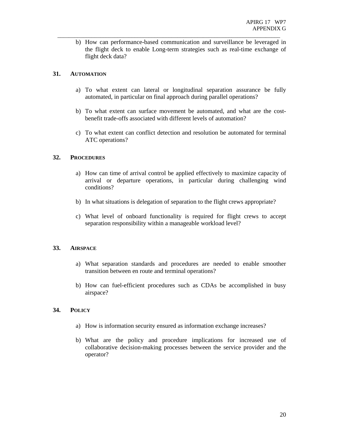b) How can performance-based communication and surveillance be leveraged in the flight deck to enable Long-term strategies such as real-time exchange of flight deck data?

\_\_\_\_\_\_\_\_\_\_\_\_\_\_\_\_\_\_\_\_\_\_\_\_\_\_\_\_\_\_\_\_\_\_\_\_\_\_\_\_\_\_\_\_\_\_\_\_\_\_\_\_\_\_\_\_\_\_\_\_\_\_\_\_\_\_\_\_\_\_\_\_\_\_\_\_\_\_

#### **31. AUTOMATION**

- a) To what extent can lateral or longitudinal separation assurance be fully automated, in particular on final approach during parallel operations?
- b) To what extent can surface movement be automated, and what are the costbenefit trade-offs associated with different levels of automation?
- c) To what extent can conflict detection and resolution be automated for terminal ATC operations?

#### **32. PROCEDURES**

- a) How can time of arrival control be applied effectively to maximize capacity of arrival or departure operations, in particular during challenging wind conditions?
- b) In what situations is delegation of separation to the flight crews appropriate?
- c) What level of onboard functionality is required for flight crews to accept separation responsibility within a manageable workload level?

#### **33. AIRSPACE**

- a) What separation standards and procedures are needed to enable smoother transition between en route and terminal operations?
- b) How can fuel-efficient procedures such as CDAs be accomplished in busy airspace?

#### **34. POLICY**

- a) How is information security ensured as information exchange increases?
- b) What are the policy and procedure implications for increased use of collaborative decision-making processes between the service provider and the operator?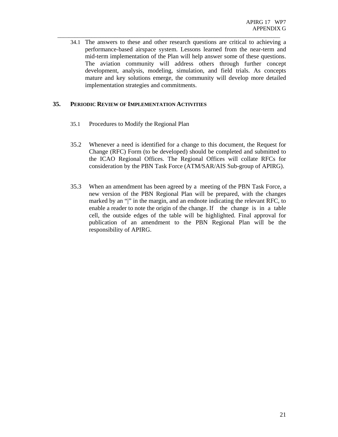34.1 The answers to these and other research questions are critical to achieving a performance-based airspace system. Lessons learned from the near-term and mid-term implementation of the Plan will help answer some of these questions. The aviation community will address others through further concept development, analysis, modeling, simulation, and field trials. As concepts mature and key solutions emerge, the community will develop more detailed implementation strategies and commitments.

\_\_\_\_\_\_\_\_\_\_\_\_\_\_\_\_\_\_\_\_\_\_\_\_\_\_\_\_\_\_\_\_\_\_\_\_\_\_\_\_\_\_\_\_\_\_\_\_\_\_\_\_\_\_\_\_\_\_\_\_\_\_\_\_\_\_\_\_\_\_\_\_\_\_\_\_\_\_

#### **35. PERIODIC REVIEW OF IMPLEMENTATION ACTIVITIES**

- 35.1 Procedures to Modify the Regional Plan
- 35.2 Whenever a need is identified for a change to this document, the Request for Change (RFC) Form (to be developed) should be completed and submitted to the ICAO Regional Offices. The Regional Offices will collate RFCs for consideration by the PBN Task Force (ATM/SAR/AIS Sub-group of APIRG).
- 35.3 When an amendment has been agreed by a meeting of the PBN Task Force, a new version of the PBN Regional Plan will be prepared, with the changes marked by an "|" in the margin, and an endnote indicating the relevant RFC, to enable a reader to note the origin of the change. If the change is in a table cell, the outside edges of the table will be highlighted. Final approval for publication of an amendment to the PBN Regional Plan will be the responsibility of APIRG.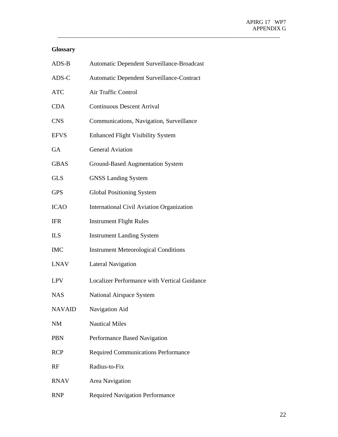## **Glossary**

| $ADS-B$       | Automatic Dependent Surveillance-Broadcast       |
|---------------|--------------------------------------------------|
| ADS-C         | Automatic Dependent Surveillance-Contract        |
| <b>ATC</b>    | Air Traffic Control                              |
| <b>CDA</b>    | <b>Continuous Descent Arrival</b>                |
| <b>CNS</b>    | Communications, Navigation, Surveillance         |
| <b>EFVS</b>   | <b>Enhanced Flight Visibility System</b>         |
| GA            | <b>General Aviation</b>                          |
| <b>GBAS</b>   | <b>Ground-Based Augmentation System</b>          |
| <b>GLS</b>    | <b>GNSS Landing System</b>                       |
| <b>GPS</b>    | <b>Global Positioning System</b>                 |
| <b>ICAO</b>   | <b>International Civil Aviation Organization</b> |
| <b>IFR</b>    | <b>Instrument Flight Rules</b>                   |
| <b>ILS</b>    | <b>Instrument Landing System</b>                 |
| <b>IMC</b>    | <b>Instrument Meteorological Conditions</b>      |
| <b>LNAV</b>   | <b>Lateral Navigation</b>                        |
| <b>LPV</b>    | Localizer Performance with Vertical Guidance     |
| <b>NAS</b>    | National Airspace System                         |
| <b>NAVAID</b> | Navigation Aid                                   |
| NM            | <b>Nautical Miles</b>                            |
| <b>PBN</b>    | Performance Based Navigation                     |
| <b>RCP</b>    | <b>Required Communications Performance</b>       |
| RF            | Radius-to-Fix                                    |
| <b>RNAV</b>   | Area Navigation                                  |
| <b>RNP</b>    | <b>Required Navigation Performance</b>           |

\_\_\_\_\_\_\_\_\_\_\_\_\_\_\_\_\_\_\_\_\_\_\_\_\_\_\_\_\_\_\_\_\_\_\_\_\_\_\_\_\_\_\_\_\_\_\_\_\_\_\_\_\_\_\_\_\_\_\_\_\_\_\_\_\_\_\_\_\_\_\_\_\_\_\_\_\_\_